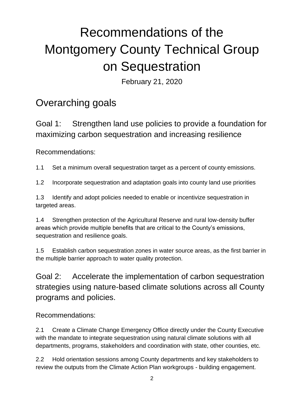# Recommendations of the Montgomery County Technical Group on Sequestration

February 21, 2020

# Overarching goals

Goal 1: Strengthen land use policies to provide a foundation for maximizing carbon sequestration and increasing resilience

Recommendations:

1.1 Set a minimum overall sequestration target as a percent of county emissions.

1.2 Incorporate sequestration and adaptation goals into county land use priorities

1.3 Identify and adopt policies needed to enable or incentivize sequestration in targeted areas.

1.4 Strengthen protection of the Agricultural Reserve and rural low-density buffer areas which provide multiple benefits that are critical to the County's emissions, sequestration and resilience goals.

1.5 Establish carbon sequestration zones in water source areas, as the first barrier in the multiple barrier approach to water quality protection.

Goal 2: Accelerate the implementation of carbon sequestration strategies using nature-based climate solutions across all County programs and policies.

## Recommendations:

2.1 Create a Climate Change Emergency Office directly under the County Executive with the mandate to integrate sequestration using natural climate solutions with all departments, programs, stakeholders and coordination with state, other counties, etc.

2.2 Hold orientation sessions among County departments and key stakeholders to review the outputs from the Climate Action Plan workgroups - building engagement.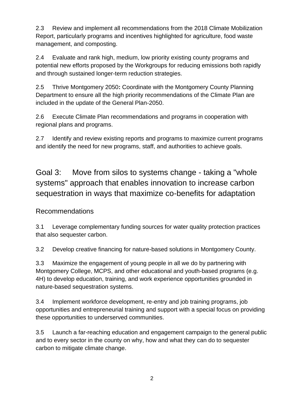2.3 Review and implement all recommendations from the 2018 Climate Mobilization Report, particularly programs and incentives highlighted for agriculture, food waste management, and composting.

2.4 Evaluate and rank high, medium, low priority existing county programs and potential new efforts proposed by the Workgroups for reducing emissions both rapidly and through sustained longer-term reduction strategies.

2.5 Thrive Montgomery 2050**:** Coordinate with the Montgomery County Planning Department to ensure all the high priority recommendations of the Climate Plan are included in the update of the General Plan-2050.

2.6 Execute Climate Plan recommendations and programs in cooperation with regional plans and programs.

2.7 Identify and review existing reports and programs to maximize current programs and identify the need for new programs, staff, and authorities to achieve goals.

Goal 3: Move from silos to systems change - taking a "whole systems" approach that enables innovation to increase carbon sequestration in ways that maximize co-benefits for adaptation

## Recommendations

3.1 Leverage complementary funding sources for water quality protection practices that also sequester carbon.

3.2 Develop creative financing for nature-based solutions in Montgomery County.

3.3 Maximize the engagement of young people in all we do by partnering with Montgomery College, MCPS, and other educational and youth-based programs (e.g. 4H) to develop education, training, and work experience opportunities grounded in nature-based sequestration systems.

3.4 Implement workforce development, re-entry and job training programs, job opportunities and entrepreneurial training and support with a special focus on providing these opportunities to underserved communities.

3.5 Launch a far-reaching education and engagement campaign to the general public and to every sector in the county on why, how and what they can do to sequester carbon to mitigate climate change.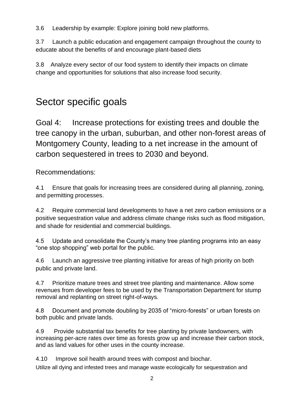3.6 Leadership by example: Explore joining bold new platforms.

3.7 Launch a public education and engagement campaign throughout the county to educate about the benefits of and encourage plant-based diets

3.8 Analyze every sector of our food system to identify their impacts on climate change and opportunities for solutions that also increase food security.

# Sector specific goals

Goal 4: Increase protections for existing trees and double the tree canopy in the urban, suburban, and other non-forest areas of Montgomery County, leading to a net increase in the amount of carbon sequestered in trees to 2030 and beyond.

Recommendations:

4.1 Ensure that goals for increasing trees are considered during all planning, zoning, and permitting processes.

4.2 Require commercial land developments to have a net zero carbon emissions or a positive sequestration value and address climate change risks such as flood mitigation, and shade for residential and commercial buildings.

4.5 Update and consolidate the County's many tree planting programs into an easy "one stop shopping" web portal for the public.

4.6 Launch an aggressive tree planting initiative for areas of high priority on both public and private land.

4.7 Prioritize mature trees and street tree planting and maintenance. Allow some revenues from developer fees to be used by the Transportation Department for stump removal and replanting on street right-of-ways.

4.8 Document and promote doubling by 2035 of "micro-forests" or urban forests on both public and private lands.

4.9 Provide substantial tax benefits for tree planting by private landowners, with increasing per-acre rates over time as forests grow up and increase their carbon stock, and as land values for other uses in the county increase.

4.10 Improve soil health around trees with compost and biochar. Utilize all dying and infested trees and manage waste ecologically for sequestration and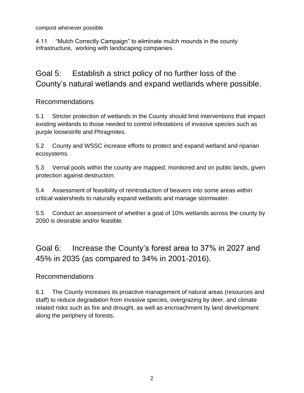compost whenever possible

4.11 "Mulch Correctly Campaign" to eliminate mulch mounds in the county infrastructure, working with landscaping companies.

## Goal 5: Establish a strict policy of no further loss of the County's natural wetlands and expand wetlands where possible.

### Recommendations

5.1 Stricter protection of wetlands in the County should limit interventions that impact existing wetlands to those needed to control infestations of invasive species such as purple loosestrife and Phragmites.

5.2 County and WSSC increase efforts to protect and expand wetland and riparian ecosystems.

5.3 Vernal pools within the county are mapped, monitored and on public lands, given protection against destruction.

5.4 Assessment of feasibility of reintroduction of beavers into some areas within critical watersheds to naturally expand wetlands and manage stormwater.

5.5 Conduct an assessment of whether a goal of 10% wetlands across the county by 2050 is desirable and/or feasible.

Goal 6: Increase the County's forest area to 37% in 2027 and 45% in 2035 (as compared to 34% in 2001-2016).

#### Recommendations

6.1 The County increases its proactive management of natural areas (resources and staff) to reduce degradation from invasive species, overgrazing by deer, and climate related risks such as fire and drought, as well as encroachment by land development along the periphery of forests.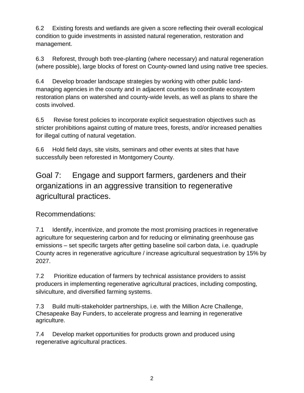6.2 Existing forests and wetlands are given a score reflecting their overall ecological condition to guide investments in assisted natural regeneration, restoration and management.

6.3 Reforest, through both tree-planting (where necessary) and natural regeneration (where possible), large blocks of forest on County-owned land using native tree species.

6.4 Develop broader landscape strategies by working with other public landmanaging agencies in the county and in adjacent counties to coordinate ecosystem restoration plans on watershed and county-wide levels, as well as plans to share the costs involved.

6.5 Revise forest policies to incorporate explicit sequestration objectives such as stricter prohibitions against cutting of mature trees, forests, and/or increased penalties for illegal cutting of natural vegetation.

6.6 Hold field days, site visits, seminars and other events at sites that have successfully been reforested in Montgomery County.

Goal 7: Engage and support farmers, gardeners and their organizations in an aggressive transition to regenerative agricultural practices.

Recommendations:

7.1 Identify, incentivize, and promote the most promising practices in regenerative agriculture for sequestering carbon and for reducing or eliminating greenhouse gas emissions – set specific targets after getting baseline soil carbon data, i.e. quadruple County acres in regenerative agriculture / increase agricultural sequestration by 15% by 2027.

7.2 Prioritize education of farmers by technical assistance providers to assist producers in implementing regenerative agricultural practices, including composting, silviculture, and diversified farming systems.

7.3 Build multi-stakeholder partnerships, i.e. with the Million Acre Challenge, Chesapeake Bay Funders, to accelerate progress and learning in regenerative agriculture.

7.4 Develop market opportunities for products grown and produced using regenerative agricultural practices.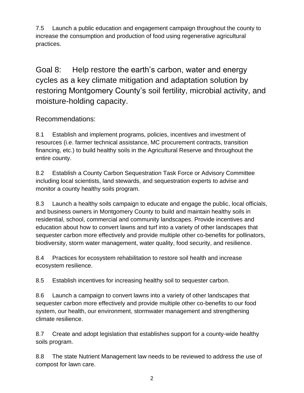7.5 Launch a public education and engagement campaign throughout the county to increase the consumption and production of food using regenerative agricultural practices.

Goal 8: Help restore the earth's carbon, water and energy cycles as a key climate mitigation and adaptation solution by restoring Montgomery County's soil fertility, microbial activity, and moisture-holding capacity.

## Recommendations:

8.1 Establish and implement programs, policies, incentives and investment of resources (i.e. farmer technical assistance, MC procurement contracts, transition financing, etc.) to build healthy soils in the Agricultural Reserve and throughout the entire county.

8.2 Establish a County Carbon Sequestration Task Force or Advisory Committee including local scientists, land stewards, and sequestration experts to advise and monitor a county healthy soils program.

8.3 Launch a healthy soils campaign to educate and engage the public, local officials, and business owners in Montgomery County to build and maintain healthy soils in residential, school, commercial and community landscapes. Provide incentives and education about how to convert lawns and turf into a variety of other landscapes that sequester carbon more effectively and provide multiple other co-benefits for pollinators, biodiversity, storm water management, water quality, food security, and resilience.

8.4 Practices for ecosystem rehabilitation to restore soil health and increase ecosystem resilience.

8.5 Establish incentives for increasing healthy soil to sequester carbon.

8.6 Launch a campaign to convert lawns into a variety of other landscapes that sequester carbon more effectively and provide multiple other co-benefits to our food system, our health, our environment, stormwater management and strengthening climate resilience.

8.7 Create and adopt legislation that establishes support for a county-wide healthy soils program.

8.8 The state Nutrient Management law needs to be reviewed to address the use of compost for lawn care.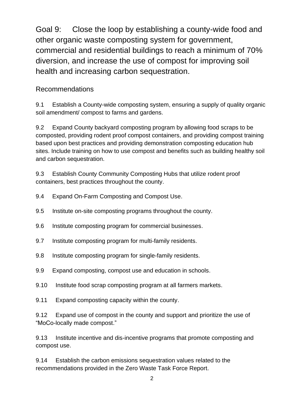Goal 9: Close the loop by establishing a county-wide food and other organic waste composting system for government, commercial and residential buildings to reach a minimum of 70% diversion, and increase the use of compost for improving soil health and increasing carbon sequestration.

## Recommendations

9.1 Establish a County-wide composting system, ensuring a supply of quality organic soil amendment/ compost to farms and gardens.

9.2 Expand County backyard composting program by allowing food scraps to be composted, providing rodent proof compost containers, and providing compost training based upon best practices and providing demonstration composting education hub sites. Include training on how to use compost and benefits such as building healthy soil and carbon sequestration.

9.3 Establish County Community Composting Hubs that utilize rodent proof containers, best practices throughout the county.

- 9.4 Expand On-Farm Composting and Compost Use.
- 9.5 Institute on-site composting programs throughout the county.
- 9.6 Institute composting program for commercial businesses.
- 9.7 Institute composting program for multi-family residents.
- 9.8 Institute composting program for single-family residents.
- 9.9 Expand composting, compost use and education in schools.
- 9.10 Institute food scrap composting program at all farmers markets.
- 9.11 Expand composting capacity within the county.

9.12 Expand use of compost in the county and support and prioritize the use of "MoCo-locally made compost."

9.13 Institute incentive and dis-incentive programs that promote composting and compost use.

9.14 Establish the carbon emissions sequestration values related to the recommendations provided in the Zero Waste Task Force Report.